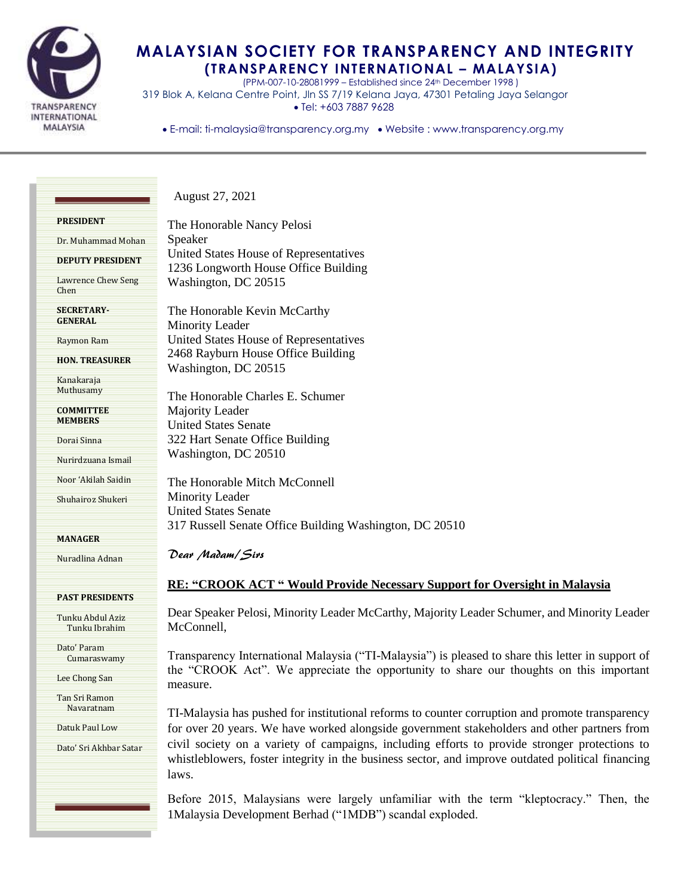

## **MALAYSIAN SOCIETY FOR TRANSPARENCY AND INTEGRITY (TRANSPARENCY INTERNATIONAL – MALAYSIA)**

(PPM-007-10-28081999 – Established since 24th December 1998 ) 319 Blok A, Kelana Centre Point, Jln SS 7/19 Kelana Jaya, 47301 Petaling Jaya Selangor Tel: +603 7887 9628

• E-mail: ti-malaysia@transparency.org.my • Website : www.transparency.org.my

Dr. Muhammad Mohan

**DEPUTY PRESIDENT**

Lawrence Chew Seng Chen

**SECRETARY-GENERAL**

Raymon Ram

**HON. TREASURER**

Kanakaraja Muthusamy

**COMMITTEE MEMBERS**

Dorai Sinna

Nurirdzuana Ismail

Noor 'Akilah Saidin

Shuhairoz Shukeri

**MANAGER**

Nuradlina Adnan

## **PAST PRESIDENTS**

Tunku Abdul Aziz Tunku Ibrahim

Dato' Param Cumaraswamy

Lee Chong San

Tan Sri Ramon Navaratnam

Datuk Paul Low

Dato' Sri Akhbar Satar

The Honorable Nancy Pelosi Speaker United States House of Representatives 1236 Longworth House Office Building Washington, DC 20515

August 27, 2021

The Honorable Kevin McCarthy Minority Leader United States House of Representatives 2468 Rayburn House Office Building Washington, DC 20515

The Honorable Charles E. Schumer Majority Leader United States Senate 322 Hart Senate Office Building Washington, DC 20510

The Honorable Mitch McConnell Minority Leader United States Senate 317 Russell Senate Office Building Washington, DC 20510

Dear Madam/Sirs

## **RE: "CROOK ACT " Would Provide Necessary Support for Oversight in Malaysia**

Dear Speaker Pelosi, Minority Leader McCarthy, Majority Leader Schumer, and Minority Leader McConnell,

Transparency International Malaysia ("TI-Malaysia") is pleased to share this letter in support of the "CROOK Act". We appreciate the opportunity to share our thoughts on this important measure.

TI-Malaysia has pushed for institutional reforms to counter corruption and promote transparency for over 20 years. We have worked alongside government stakeholders and other partners from civil society on a variety of campaigns, including efforts to provide stronger protections to whistleblowers, foster integrity in the business sector, and improve outdated political financing laws.

Before 2015, Malaysians were largely unfamiliar with the term "kleptocracy." Then, the 1Malaysia Development Berhad ("1MDB") scandal exploded.